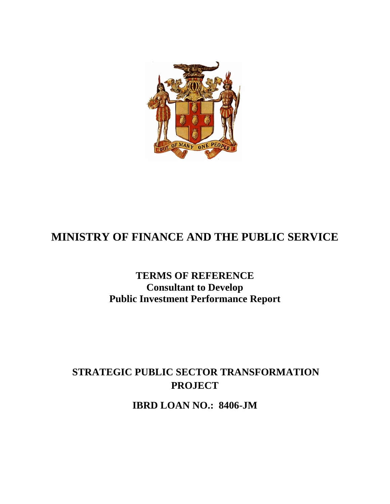

# **MINISTRY OF FINANCE AND THE PUBLIC SERVICE**

## **TERMS OF REFERENCE Consultant to Develop Public Investment Performance Report**

## **STRATEGIC PUBLIC SECTOR TRANSFORMATION PROJECT**

**IBRD LOAN NO.: 8406-JM**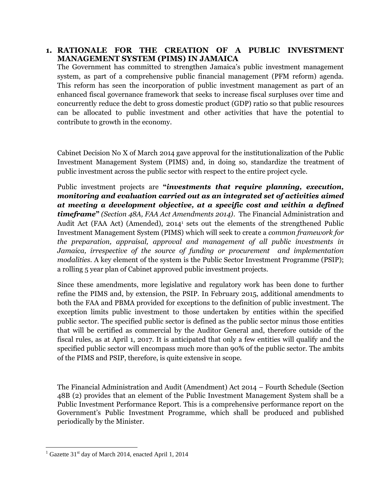### **1. RATIONALE FOR THE CREATION OF A PUBLIC INVESTMENT MANAGEMENT SYSTEM (PIMS) IN JAMAICA**

The Government has committed to strengthen Jamaica's public investment management system, as part of a comprehensive public financial management (PFM reform) agenda. This reform has seen the incorporation of public investment management as part of an enhanced fiscal governance framework that seeks to increase fiscal surpluses over time and concurrently reduce the debt to gross domestic product (GDP) ratio so that public resources can be allocated to public investment and other activities that have the potential to contribute to growth in the economy.

Cabinet Decision No X of March 2014 gave approval for the institutionalization of the Public Investment Management System (PIMS) and, in doing so, standardize the treatment of public investment across the public sector with respect to the entire project cycle.

Public investment projects are **"***investments that require planning, execution, monitoring and evaluation carried out as an integrated set of activities aimed at meeting a development objective, at a specific cost and within a defined timeframe***"** *(Section 48A, FAA Act Amendments 2014)*. The Financial Administration and Audit Act (FAA Act) (Amended), 2014<sup>1</sup> sets out the elements of the strengthened Public Investment Management System (PIMS) which will seek to create a *common framework for the preparation, appraisal, approval and management of all public investments in Jamaica, irrespective of the source of funding or procurement and implementation modalities.* A key element of the system is the Public Sector Investment Programme (PSIP); a rolling 5 year plan of Cabinet approved public investment projects.

Since these amendments, more legislative and regulatory work has been done to further refine the PIMS and, by extension, the PSIP. In February 2015, additional amendments to both the FAA and PBMA provided for exceptions to the definition of public investment. The exception limits public investment to those undertaken by entities within the specified public sector. The specified public sector is defined as the public sector minus those entities that will be certified as commercial by the Auditor General and, therefore outside of the fiscal rules, as at April 1, 2017. It is anticipated that only a few entities will qualify and the specified public sector will encompass much more than 90% of the public sector. The ambits of the PIMS and PSIP, therefore, is quite extensive in scope.

The Financial Administration and Audit (Amendment) Act 2014 – Fourth Schedule (Section 48B (2) provides that an element of the Public Investment Management System shall be a Public Investment Performance Report. This is a comprehensive performance report on the Government's Public Investment Programme, which shall be produced and published periodically by the Minister.

 $1$  Gazette 31<sup>st</sup> day of March 2014, enacted April 1, 2014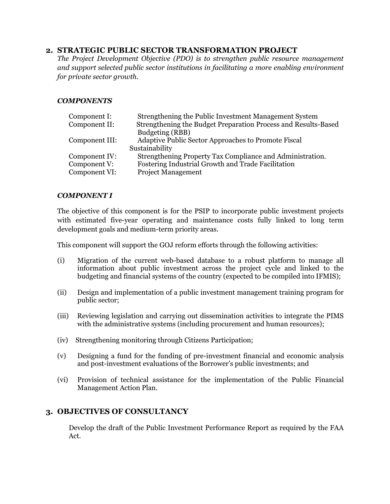#### **2. STRATEGIC PUBLIC SECTOR TRANSFORMATION PROJECT**

*The Project Development Objective (PDO) is to strengthen public resource management and support selected public sector institutions in facilitating a more enabling environment for private sector growth.*

#### *COMPONENTS*

| Component I:<br>Component II: | Strengthening the Public Investment Management System<br>Strengthening the Budget Preparation Process and Results-Based |  |
|-------------------------------|-------------------------------------------------------------------------------------------------------------------------|--|
|                               | Budgeting (RBB)                                                                                                         |  |
| Component III:                | Adaptive Public Sector Approaches to Promote Fiscal                                                                     |  |
|                               | Sustainability                                                                                                          |  |
| Component IV:                 | Strengthening Property Tax Compliance and Administration.                                                               |  |
| Component V:                  | Fostering Industrial Growth and Trade Facilitation                                                                      |  |
| Component VI:                 | <b>Project Management</b>                                                                                               |  |

#### *COMPONENT I*

The objective of this component is for the PSIP to incorporate public investment projects with estimated five-year operating and maintenance costs fully linked to long term development goals and medium-term priority areas.

This component will support the GOJ reform efforts through the following activities:

- (i) Migration of the current web-based database to a robust platform to manage all information about public investment across the project cycle and linked to the budgeting and financial systems of the country (expected to be compiled into IFMIS);
- (ii) Design and implementation of a public investment management training program for public sector;
- (iii) Reviewing legislation and carrying out dissemination activities to integrate the PIMS with the administrative systems (including procurement and human resources);
- (iv) Strengthening monitoring through Citizens Participation;
- (v) Designing a fund for the funding of pre-investment financial and economic analysis and post-investment evaluations of the Borrower's public investments; and
- (vi) Provision of technical assistance for the implementation of the Public Financial Management Action Plan.

#### **3. OBJECTIVES OF CONSULTANCY**

Develop the draft of the Public Investment Performance Report as required by the FAA Act.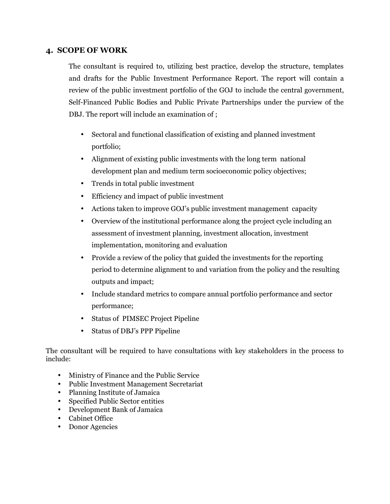## **4. SCOPE OF WORK**

The consultant is required to, utilizing best practice, develop the structure, templates and drafts for the Public Investment Performance Report. The report will contain a review of the public investment portfolio of the GOJ to include the central government, Self-Financed Public Bodies and Public Private Partnerships under the purview of the DBJ. The report will include an examination of ;

- Sectoral and functional classification of existing and planned investment portfolio;
- Alignment of existing public investments with the long term national development plan and medium term socioeconomic policy objectives;
- Trends in total public investment
- Efficiency and impact of public investment
- Actions taken to improve GOJ's public investment management capacity
- Overview of the institutional performance along the project cycle including an assessment of investment planning, investment allocation, investment implementation, monitoring and evaluation
- Provide a review of the policy that guided the investments for the reporting period to determine alignment to and variation from the policy and the resulting outputs and impact;
- Include standard metrics to compare annual portfolio performance and sector performance;
- Status of PIMSEC Project Pipeline
- Status of DBJ's PPP Pipeline

The consultant will be required to have consultations with key stakeholders in the process to include:

- Ministry of Finance and the Public Service
- Public Investment Management Secretariat
- Planning Institute of Jamaica
- Specified Public Sector entities
- Development Bank of Jamaica
- Cabinet Office
- Donor Agencies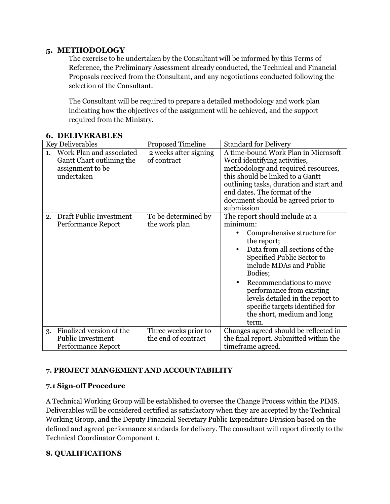## **5. METHODOLOGY**

The exercise to be undertaken by the Consultant will be informed by this Terms of Reference, the Preliminary Assessment already conducted, the Technical and Financial Proposals received from the Consultant, and any negotiations conducted following the selection of the Consultant.

The Consultant will be required to prepare a detailed methodology and work plan indicating how the objectives of the assignment will be achieved, and the support required from the Ministry.

| <b>Key Deliverables</b>                                                                       | <b>Proposed Timeline</b>                    | <b>Standard for Delivery</b>                                                                                                                                                                                                                                                                                                                                        |
|-----------------------------------------------------------------------------------------------|---------------------------------------------|---------------------------------------------------------------------------------------------------------------------------------------------------------------------------------------------------------------------------------------------------------------------------------------------------------------------------------------------------------------------|
| Work Plan and associated<br>1.<br>Gantt Chart outlining the<br>assignment to be<br>undertaken | 2 weeks after signing<br>of contract        | A time-bound Work Plan in Microsoft<br>Word identifying activities,<br>methodology and required resources,<br>this should be linked to a Gantt<br>outlining tasks, duration and start and<br>end dates. The format of the<br>document should be agreed prior to<br>submission                                                                                       |
| Draft Public Investment<br>2.<br>Performance Report                                           | To be determined by<br>the work plan        | The report should include at a<br>minimum:<br>Comprehensive structure for<br>the report;<br>Data from all sections of the<br>Specified Public Sector to<br>include MDAs and Public<br>Bodies;<br>Recommendations to move<br>performance from existing<br>levels detailed in the report to<br>specific targets identified for<br>the short, medium and long<br>term. |
| Finalized version of the<br>3.<br><b>Public Investment</b><br><b>Performance Report</b>       | Three weeks prior to<br>the end of contract | Changes agreed should be reflected in<br>the final report. Submitted within the<br>timeframe agreed.                                                                                                                                                                                                                                                                |

#### **6. DELIVERABLES**

### **7. PROJECT MANGEMENT AND ACCOUNTABILITY**

### **7.1 Sign-off Procedure**

A Technical Working Group will be established to oversee the Change Process within the PIMS. Deliverables will be considered certified as satisfactory when they are accepted by the Technical Working Group, and the Deputy Financial Secretary Public Expenditure Division based on the defined and agreed performance standards for delivery. The consultant will report directly to the Technical Coordinator Component 1.

### **8. QUALIFICATIONS**